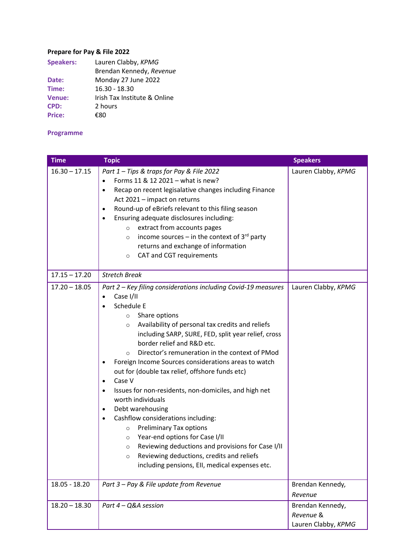## **Prepare for Pay & File 2022**

| <b>Speakers:</b> | Lauren Clabby, KPMG          |  |
|------------------|------------------------------|--|
|                  | Brendan Kennedy, Revenue     |  |
| Date:            | Monday 27 June 2022          |  |
| Time:            | $16.30 - 18.30$              |  |
| <b>Venue:</b>    | Irish Tax Institute & Online |  |
| CPD:             | 2 hours                      |  |
| <b>Price:</b>    | €ຂດ                          |  |

## **Programme**

| <b>Time</b>     | <b>Topic</b>                                                                                                                                                                                                                                                                                                                                                                                                                                                                                                                                                                                                                                                                                                                                                                                                                                                                                                                                          | <b>Speakers</b>                                      |
|-----------------|-------------------------------------------------------------------------------------------------------------------------------------------------------------------------------------------------------------------------------------------------------------------------------------------------------------------------------------------------------------------------------------------------------------------------------------------------------------------------------------------------------------------------------------------------------------------------------------------------------------------------------------------------------------------------------------------------------------------------------------------------------------------------------------------------------------------------------------------------------------------------------------------------------------------------------------------------------|------------------------------------------------------|
| $16.30 - 17.15$ | Part 1 - Tips & traps for Pay & File 2022<br>Forms 11 & 12 2021 - what is new?<br>$\bullet$<br>Recap on recent legisalative changes including Finance<br>Act 2021 - impact on returns<br>Round-up of eBriefs relevant to this filing season<br>٠<br>Ensuring adequate disclosures including:<br>$\bullet$<br>extract from accounts pages<br>$\circ$<br>income sources – in the context of $3^{rd}$ party<br>$\circ$<br>returns and exchange of information<br>CAT and CGT requirements<br>$\circ$                                                                                                                                                                                                                                                                                                                                                                                                                                                     | Lauren Clabby, KPMG                                  |
| $17.15 - 17.20$ | <b>Stretch Break</b>                                                                                                                                                                                                                                                                                                                                                                                                                                                                                                                                                                                                                                                                                                                                                                                                                                                                                                                                  |                                                      |
| $17.20 - 18.05$ | Part 2 - Key filing considerations including Covid-19 measures<br>Case I/II<br>$\bullet$<br>Schedule E<br>Share options<br>$\circ$<br>Availability of personal tax credits and reliefs<br>$\circ$<br>including SARP, SURE, FED, split year relief, cross<br>border relief and R&D etc.<br>Director's remuneration in the context of PMod<br>$\circ$<br>Foreign Income Sources considerations areas to watch<br>$\bullet$<br>out for (double tax relief, offshore funds etc)<br>Case V<br>$\bullet$<br>Issues for non-residents, non-domiciles, and high net<br>$\bullet$<br>worth individuals<br>Debt warehousing<br>$\bullet$<br>Cashflow considerations including:<br>$\bullet$<br><b>Preliminary Tax options</b><br>$\circ$<br>Year-end options for Case I/II<br>$\circ$<br>Reviewing deductions and provisions for Case I/II<br>$\circ$<br>Reviewing deductions, credits and reliefs<br>$\circ$<br>including pensions, Ell, medical expenses etc. | Lauren Clabby, KPMG                                  |
| $18.05 - 18.20$ | Part 3 - Pay & File update from Revenue                                                                                                                                                                                                                                                                                                                                                                                                                                                                                                                                                                                                                                                                                                                                                                                                                                                                                                               | Brendan Kennedy,<br>Revenue                          |
| $18.20 - 18.30$ | Part 4 - Q&A session                                                                                                                                                                                                                                                                                                                                                                                                                                                                                                                                                                                                                                                                                                                                                                                                                                                                                                                                  | Brendan Kennedy,<br>Revenue &<br>Lauren Clabby, KPMG |